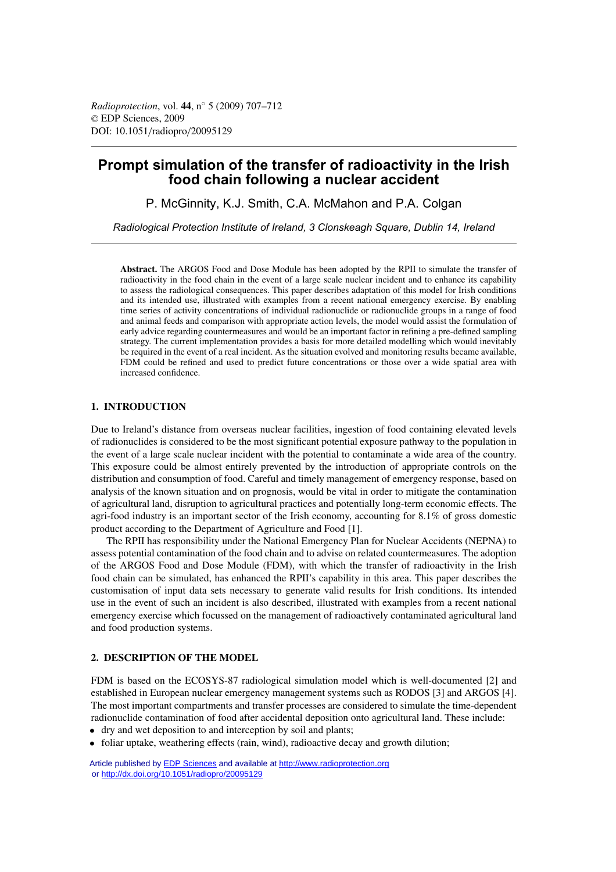# **Prompt simulation of the transfer of radioactivity in the Irish food chain following a nuclear accident**

P. McGinnity, K.J. Smith, C.A. McMahon and P.A. Colgan

*Radiological Protection Institute of Ireland, 3 Clonskeagh Square, Dublin 14, Ireland*

**Abstract.** The ARGOS Food and Dose Module has been adopted by the RPII to simulate the transfer of radioactivity in the food chain in the event of a large scale nuclear incident and to enhance its capability to assess the radiological consequences. This paper describes adaptation of this model for Irish conditions and its intended use, illustrated with examples from a recent national emergency exercise. By enabling time series of activity concentrations of individual radionuclide or radionuclide groups in a range of food and animal feeds and comparison with appropriate action levels, the model would assist the formulation of early advice regarding countermeasures and would be an important factor in refining a pre-defined sampling strategy. The current implementation provides a basis for more detailed modelling which would inevitably be required in the event of a real incident. As the situation evolved and monitoring results became available, FDM could be refined and used to predict future concentrations or those over a wide spatial area with increased confidence.

#### **1. INTRODUCTION**

Due to Ireland's distance from overseas nuclear facilities, ingestion of food containing elevated levels of radionuclides is considered to be the most significant potential exposure pathway to the population in the event of a large scale nuclear incident with the potential to contaminate a wide area of the country. This exposure could be almost entirely prevented by the introduction of appropriate controls on the distribution and consumption of food. Careful and timely management of emergency response, based on analysis of the known situation and on prognosis, would be vital in order to mitigate the contamination of agricultural land, disruption to agricultural practices and potentially long-term economic effects. The agri-food industry is an important sector of the Irish economy, accounting for 8.1% of gross domestic product according to the Department of Agriculture and Food [1].

The RPII has responsibility under the National Emergency Plan for Nuclear Accidents (NEPNA) to assess potential contamination of the food chain and to advise on related countermeasures. The adoption of the ARGOS Food and Dose Module (FDM), with which the transfer of radioactivity in the Irish food chain can be simulated, has enhanced the RPII's capability in this area. This paper describes the customisation of input data sets necessary to generate valid results for Irish conditions. Its intended use in the event of such an incident is also described, illustrated with examples from a recent national emergency exercise which focussed on the management of radioactively contaminated agricultural land and food production systems.

### **2. DESCRIPTION OF THE MODEL**

FDM is based on the ECOSYS-87 radiological simulation model which is well-documented [2] and established in European nuclear emergency management systems such as RODOS [3] and ARGOS [4]. The most important compartments and transfer processes are considered to simulate the time-dependent radionuclide contamination of food after accidental deposition onto agricultural land. These include:

- dry and wet deposition to and interception by soil and plants;
- foliar uptake, weathering effects (rain, wind), radioactive decay and growth dilution;

Article published by **EDP Sciences** and available at <http://www.radioprotection.org> or<http://dx.doi.org/10.1051/radiopro/20095129>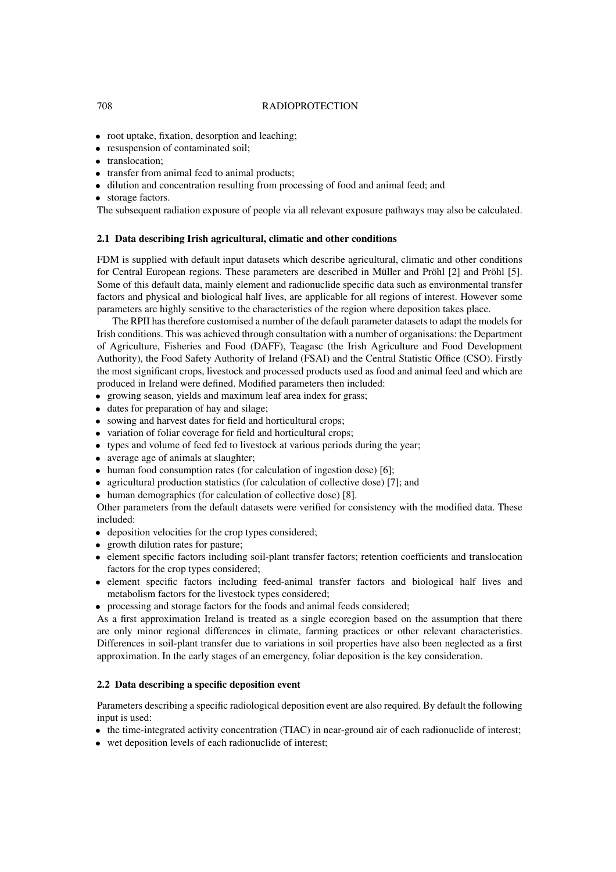### 708 RADIOPROTECTION

- root uptake, fixation, desorption and leaching;
- resuspension of contaminated soil;
- translocation:
- transfer from animal feed to animal products;
- dilution and concentration resulting from processing of food and animal feed; and
- storage factors.

The subsequent radiation exposure of people via all relevant exposure pathways may also be calculated.

### **2.1 Data describing Irish agricultural, climatic and other conditions**

FDM is supplied with default input datasets which describe agricultural, climatic and other conditions for Central European regions. These parameters are described in Müller and Pröhl [2] and Pröhl [5]. Some of this default data, mainly element and radionuclide specific data such as environmental transfer factors and physical and biological half lives, are applicable for all regions of interest. However some parameters are highly sensitive to the characteristics of the region where deposition takes place.

The RPII has therefore customised a number of the default parameter datasets to adapt the models for Irish conditions. This was achieved through consultation with a number of organisations: the Department of Agriculture, Fisheries and Food (DAFF), Teagasc (the Irish Agriculture and Food Development Authority), the Food Safety Authority of Ireland (FSAI) and the Central Statistic Office (CSO). Firstly the most significant crops, livestock and processed products used as food and animal feed and which are produced in Ireland were defined. Modified parameters then included:

• growing season, yields and maximum leaf area index for grass;

- dates for preparation of hay and silage;
- sowing and harvest dates for field and horticultural crops;
- variation of foliar coverage for field and horticultural crops;
- types and volume of feed fed to livestock at various periods during the year;
- average age of animals at slaughter;
- human food consumption rates (for calculation of ingestion dose) [6];
- agricultural production statistics (for calculation of collective dose) [7]; and
- human demographics (for calculation of collective dose) [8].

Other parameters from the default datasets were verified for consistency with the modified data. These included:

- deposition velocities for the crop types considered;
- growth dilution rates for pasture;
- element specific factors including soil-plant transfer factors; retention coefficients and translocation factors for the crop types considered;
- element specific factors including feed-animal transfer factors and biological half lives and metabolism factors for the livestock types considered;
- processing and storage factors for the foods and animal feeds considered;

As a first approximation Ireland is treated as a single ecoregion based on the assumption that there are only minor regional differences in climate, farming practices or other relevant characteristics. Differences in soil-plant transfer due to variations in soil properties have also been neglected as a first approximation. In the early stages of an emergency, foliar deposition is the key consideration.

### **2.2 Data describing a specific deposition event**

Parameters describing a specific radiological deposition event are also required. By default the following input is used:

- the time-integrated activity concentration (TIAC) in near-ground air of each radionuclide of interest;
- wet deposition levels of each radionuclide of interest;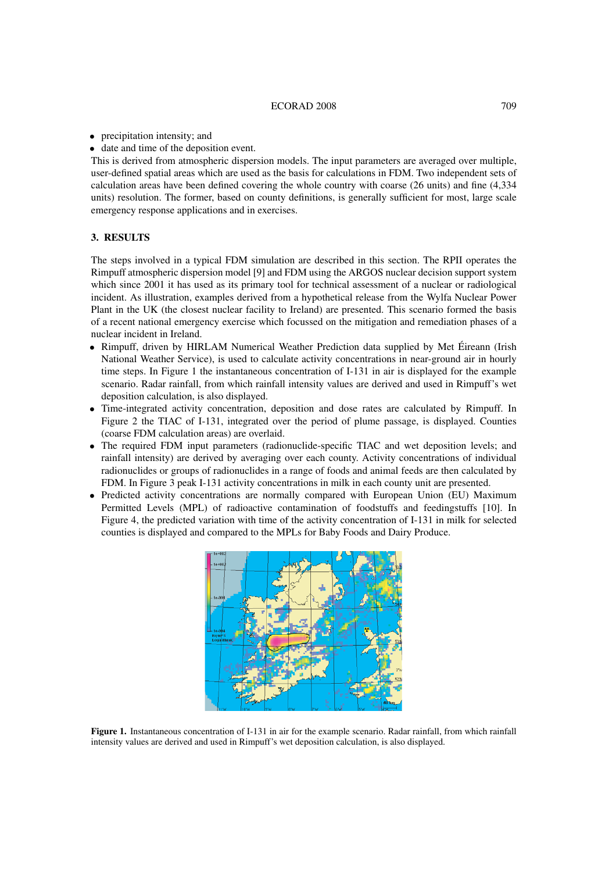#### ECORAD 2008 709

- precipitation intensity; and
- date and time of the deposition event.

This is derived from atmospheric dispersion models. The input parameters are averaged over multiple, user-defined spatial areas which are used as the basis for calculations in FDM. Two independent sets of calculation areas have been defined covering the whole country with coarse (26 units) and fine (4,334 units) resolution. The former, based on county definitions, is generally sufficient for most, large scale emergency response applications and in exercises.

### **3. RESULTS**

The steps involved in a typical FDM simulation are described in this section. The RPII operates the Rimpuff atmospheric dispersion model [9] and FDM using the ARGOS nuclear decision support system which since 2001 it has used as its primary tool for technical assessment of a nuclear or radiological incident. As illustration, examples derived from a hypothetical release from the Wylfa Nuclear Power Plant in the UK (the closest nuclear facility to Ireland) are presented. This scenario formed the basis of a recent national emergency exercise which focussed on the mitigation and remediation phases of a nuclear incident in Ireland.

- Rimpuff, driven by HIRLAM Numerical Weather Prediction data supplied by Met Éireann (Irish National Weather Service), is used to calculate activity concentrations in near-ground air in hourly time steps. In Figure 1 the instantaneous concentration of I-131 in air is displayed for the example scenario. Radar rainfall, from which rainfall intensity values are derived and used in Rimpuff's wet deposition calculation, is also displayed.
- Time-integrated activity concentration, deposition and dose rates are calculated by Rimpuff. In Figure 2 the TIAC of I-131, integrated over the period of plume passage, is displayed. Counties (coarse FDM calculation areas) are overlaid.
- The required FDM input parameters (radionuclide-specific TIAC and wet deposition levels; and rainfall intensity) are derived by averaging over each county. Activity concentrations of individual radionuclides or groups of radionuclides in a range of foods and animal feeds are then calculated by FDM. In Figure 3 peak I-131 activity concentrations in milk in each county unit are presented.
- Predicted activity concentrations are normally compared with European Union (EU) Maximum Permitted Levels (MPL) of radioactive contamination of foodstuffs and feedingstuffs [10]. In Figure 4, the predicted variation with time of the activity concentration of I-131 in milk for selected counties is displayed and compared to the MPLs for Baby Foods and Dairy Produce.



**Figure 1.** Instantaneous concentration of I-131 in air for the example scenario. Radar rainfall, from which rainfall intensity values are derived and used in Rimpuff's wet deposition calculation, is also displayed.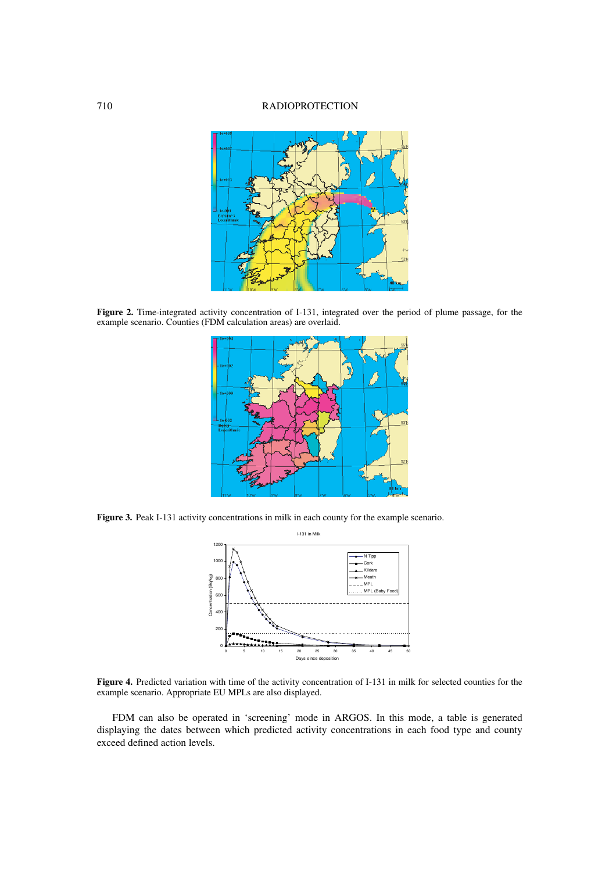### 710 RADIOPROTECTION



**Figure 2.** Time-integrated activity concentration of I-131, integrated over the period of plume passage, for the example scenario. Counties (FDM calculation areas) are overlaid.



**Figure 3.** Peak I-131 activity concentrations in milk in each county for the example scenario.



**Figure 4.** Predicted variation with time of the activity concentration of I-131 in milk for selected counties for the example scenario. Appropriate EU MPLs are also displayed.

FDM can also be operated in 'screening' mode in ARGOS. In this mode, a table is generated displaying the dates between which predicted activity concentrations in each food type and county exceed defined action levels.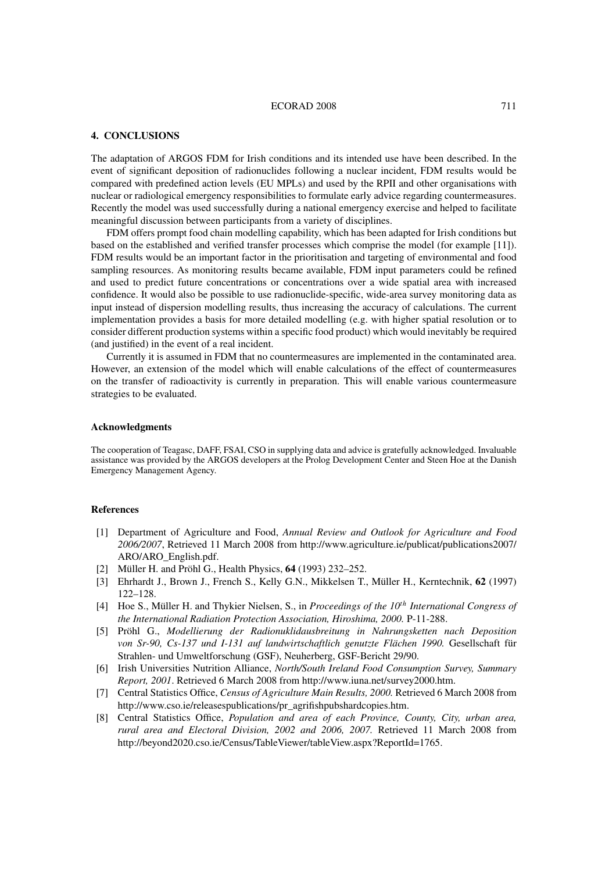#### ECORAD 2008 711

#### **4. CONCLUSIONS**

The adaptation of ARGOS FDM for Irish conditions and its intended use have been described. In the event of significant deposition of radionuclides following a nuclear incident, FDM results would be compared with predefined action levels (EU MPLs) and used by the RPII and other organisations with nuclear or radiological emergency responsibilities to formulate early advice regarding countermeasures. Recently the model was used successfully during a national emergency exercise and helped to facilitate meaningful discussion between participants from a variety of disciplines.

FDM offers prompt food chain modelling capability, which has been adapted for Irish conditions but based on the established and verified transfer processes which comprise the model (for example [11]). FDM results would be an important factor in the prioritisation and targeting of environmental and food sampling resources. As monitoring results became available, FDM input parameters could be refined and used to predict future concentrations or concentrations over a wide spatial area with increased confidence. It would also be possible to use radionuclide-specific, wide-area survey monitoring data as input instead of dispersion modelling results, thus increasing the accuracy of calculations. The current implementation provides a basis for more detailed modelling (e.g. with higher spatial resolution or to consider different production systems within a specific food product) which would inevitably be required (and justified) in the event of a real incident.

Currently it is assumed in FDM that no countermeasures are implemented in the contaminated area. However, an extension of the model which will enable calculations of the effect of countermeasures on the transfer of radioactivity is currently in preparation. This will enable various countermeasure strategies to be evaluated.

#### **Acknowledgments**

The cooperation of Teagasc, DAFF, FSAI, CSO in supplying data and advice is gratefully acknowledged. Invaluable assistance was provided by the ARGOS developers at the Prolog Development Center and Steen Hoe at the Danish Emergency Management Agency.

#### **References**

- [1] Department of Agriculture and Food, *Annual Review and Outlook for Agriculture and Food 2006/2007*, Retrieved 11 March 2008 from http://www.agriculture.ie/publicat/publications2007/ ARO/ARO\_English.pdf.
- [2] Müller H. and Pröhl G., Health Physics, **64** (1993) 232–252.
- [3] Ehrhardt J., Brown J., French S., Kelly G.N., Mikkelsen T., Müller H., Kerntechnik, **62** (1997) 122–128.
- [4] Hoe S., Müller H. and Thykier Nielsen, S., in *Proceedings of the 10*th *International Congress of the International Radiation Protection Association, Hiroshima, 2000.* P-11-288.
- [5] Pröhl G., *Modellierung der Radionuklidausbreitung in Nahrungsketten nach Deposition von Sr-90, Cs-137 und I-131 auf landwirtschaftlich genutzte Flächen 1990.* Gesellschaft für Strahlen- und Umweltforschung (GSF), Neuherberg, GSF-Bericht 29/90.
- [6] Irish Universities Nutrition Alliance, *North/South Ireland Food Consumption Survey, Summary Report, 2001*. Retrieved 6 March 2008 from http://www.iuna.net/survey2000.htm.
- [7] Central Statistics Office, *Census of Agriculture Main Results, 2000.* Retrieved 6 March 2008 from http://www.cso.ie/releasespublications/pr\_agrifishpubshardcopies.htm.
- [8] Central Statistics Office, *Population and area of each Province, County, City, urban area, rural area and Electoral Division, 2002 and 2006, 2007.* Retrieved 11 March 2008 from http://beyond2020.cso.ie/Census/TableViewer/tableView.aspx?ReportId=1765.